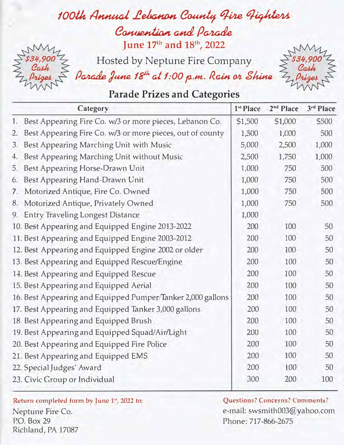## 100th Annual Lebanon County Fire Fighters Convention and Parade June 17th and 18th, 2022

Hosted by Neptune Fire Company Parade June 18<sup>th</sup> at 1:00 p.m. Rain or Shine



## **Parade Prizes and Categories**

| Category |                                                             | 1 <sup>st</sup> Place | 2 <sup>nd</sup> Place | 3rd Place    |
|----------|-------------------------------------------------------------|-----------------------|-----------------------|--------------|
| 1.       | Best Appearing Fire Co. w/3 or more pieces, Lebanon Co.     | \$1,500               | \$1,000               | <b>\$500</b> |
| 2.       | Best Appearing Fire Co. w/3 or more pieces, out of county   | 1,500                 | 1,000                 | 500          |
| 3.       | Best Appearing Marching Unit with Music                     | 5,000                 | 2,500                 | 1,000        |
| 4.       | Best Appearing Marching Unit without Music                  | 2,500                 | 1,750                 | 1,000        |
| 5.       | Best Appearing Horse-Drawn Unit                             | 1,000                 | 750                   | 500          |
| 6.       | Best Appearing Hand-Drawn Unit                              | 1,000                 | 750                   | 500          |
| 7.       | Motorized Antique, Fire Co. Owned                           | 1,000                 | 750                   | 500          |
|          | 8. Motorized Antique, Privately Owned                       | 1,000                 | 750                   | 500          |
|          | 9. Entry Traveling Longest Distance                         | 1,000                 |                       |              |
|          | 10. Best Appearing and Equipped Engine 2013-2022            | 200                   | 100                   | 50           |
|          | 11. Best Appearing and Equipped Engine 2003-2012            | 200                   | 100                   | 50           |
|          | 12. Best Appearing and Equipped Engine 2002 or older        | 200                   | 100                   | 50           |
|          | 13. Best Appearing and Equipped Rescue/Engine               | 200                   | 100                   | 50           |
|          | 14. Best Appearing and Equipped Rescue                      | 200                   | 100                   | 50           |
|          | 15. Best Appearing and Equipped Aerial                      | 200                   | 100                   | 50           |
|          | 16. Best Appearing and Equipped Pumper/Tanker 2,000 gallons | 200                   | 100                   | 50           |
|          | 17. Best Appearing and Equipped Tanker 3,000 gallons        | 200                   | 100                   | 50           |
|          | 18. Best Appearing and Equipped Brush                       | 200                   | 100                   | 50           |
|          | 19. Best Appearing and Equipped Squad/Air/Light             | 200                   | 100                   | 50           |
|          | 20. Best Appearing and Equipped Fire Police                 | 200                   | 100                   | 50           |
|          | 21. Best Appearing and Equipped EMS                         | 200                   | 100                   | 50           |
|          | 22. Special Judges' Award                                   | 200                   | 100                   | 50           |
|          | 23. Civic Group or Individual                               | 300                   | 200                   | 100          |

Return completed form by June 1<sup>st</sup>, 2022 to: Neptune Fire Co. P.O. Box 29 Richland, PA 17087

**Questions? Concerns? Comments?** e-mail: swsmith003@yahoo.com Phone: 717-866-2675